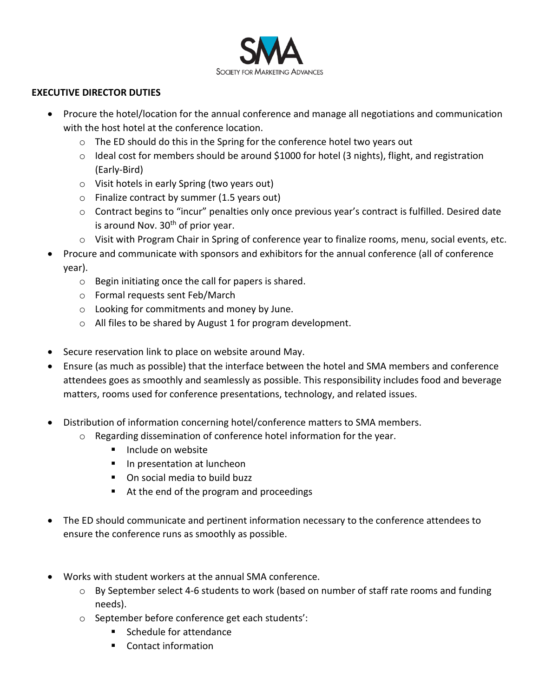

#### **EXECUTIVE DIRECTOR DUTIES**

- Procure the hotel/location for the annual conference and manage all negotiations and communication with the host hotel at the conference location.
	- o The ED should do this in the Spring for the conference hotel two years out
	- o Ideal cost for members should be around \$1000 for hotel (3 nights), flight, and registration (Early-Bird)
	- o Visit hotels in early Spring (two years out)
	- o Finalize contract by summer (1.5 years out)
	- $\circ$  Contract begins to "incur" penalties only once previous year's contract is fulfilled. Desired date is around Nov.  $30<sup>th</sup>$  of prior year.
	- o Visit with Program Chair in Spring of conference year to finalize rooms, menu, social events, etc.
- Procure and communicate with sponsors and exhibitors for the annual conference (all of conference year).
	- o Begin initiating once the call for papers is shared.
	- o Formal requests sent Feb/March
	- o Looking for commitments and money by June.
	- o All files to be shared by August 1 for program development.
- Secure reservation link to place on website around May.
- Ensure (as much as possible) that the interface between the hotel and SMA members and conference attendees goes as smoothly and seamlessly as possible. This responsibility includes food and beverage matters, rooms used for conference presentations, technology, and related issues.
- Distribution of information concerning hotel/conference matters to SMA members.
	- o Regarding dissemination of conference hotel information for the year.
		- **Include on website**
		- **In presentation at luncheon**
		- On social media to build buzz
		- At the end of the program and proceedings
- The ED should communicate and pertinent information necessary to the conference attendees to ensure the conference runs as smoothly as possible.
- Works with student workers at the annual SMA conference.
	- o By September select 4-6 students to work (based on number of staff rate rooms and funding needs).
	- o September before conference get each students':
		- Schedule for attendance
		- Contact information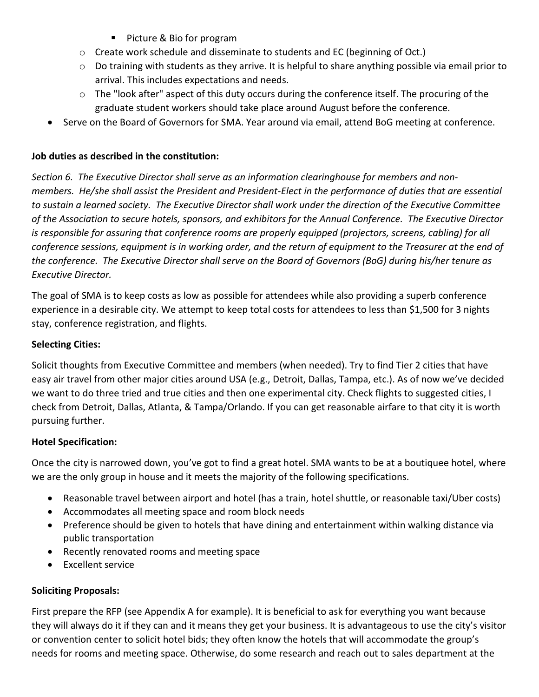- **Picture & Bio for program**
- $\circ$  Create work schedule and disseminate to students and EC (beginning of Oct.)
- $\circ$  Do training with students as they arrive. It is helpful to share anything possible via email prior to arrival. This includes expectations and needs.
- $\circ$  The "look after" aspect of this duty occurs during the conference itself. The procuring of the graduate student workers should take place around August before the conference.
- Serve on the Board of Governors for SMA. Year around via email, attend BoG meeting at conference.

## **Job duties as described in the constitution:**

*Section 6. The Executive Director shall serve as an information clearinghouse for members and nonmembers. He/she shall assist the President and President-Elect in the performance of duties that are essential to sustain a learned society. The Executive Director shall work under the direction of the Executive Committee of the Association to secure hotels, sponsors, and exhibitors for the Annual Conference. The Executive Director is responsible for assuring that conference rooms are properly equipped (projectors, screens, cabling) for all conference sessions, equipment is in working order, and the return of equipment to the Treasurer at the end of the conference. The Executive Director shall serve on the Board of Governors (BoG) during his/her tenure as Executive Director.*

The goal of SMA is to keep costs as low as possible for attendees while also providing a superb conference experience in a desirable city. We attempt to keep total costs for attendees to less than \$1,500 for 3 nights stay, conference registration, and flights.

## **Selecting Cities:**

Solicit thoughts from Executive Committee and members (when needed). Try to find Tier 2 cities that have easy air travel from other major cities around USA (e.g., Detroit, Dallas, Tampa, etc.). As of now we've decided we want to do three tried and true cities and then one experimental city. Check flights to suggested cities, I check from Detroit, Dallas, Atlanta, & Tampa/Orlando. If you can get reasonable airfare to that city it is worth pursuing further.

#### **Hotel Specification:**

Once the city is narrowed down, you've got to find a great hotel. SMA wants to be at a boutiquee hotel, where we are the only group in house and it meets the majority of the following specifications.

- Reasonable travel between airport and hotel (has a train, hotel shuttle, or reasonable taxi/Uber costs)
- Accommodates all meeting space and room block needs
- Preference should be given to hotels that have dining and entertainment within walking distance via public transportation
- Recently renovated rooms and meeting space
- Excellent service

# **Soliciting Proposals:**

First prepare the RFP (see Appendix A for example). It is beneficial to ask for everything you want because they will always do it if they can and it means they get your business. It is advantageous to use the city's visitor or convention center to solicit hotel bids; they often know the hotels that will accommodate the group's needs for rooms and meeting space. Otherwise, do some research and reach out to sales department at the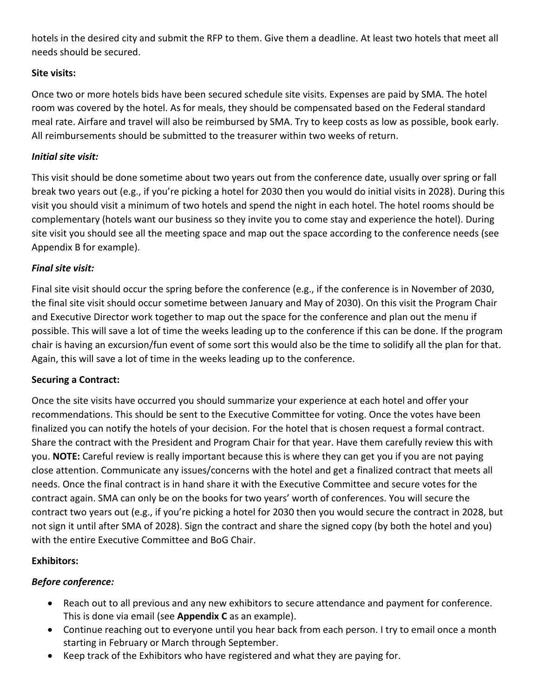hotels in the desired city and submit the RFP to them. Give them a deadline. At least two hotels that meet all needs should be secured.

# **Site visits:**

Once two or more hotels bids have been secured schedule site visits. Expenses are paid by SMA. The hotel room was covered by the hotel. As for meals, they should be compensated based on the Federal standard meal rate. Airfare and travel will also be reimbursed by SMA. Try to keep costs as low as possible, book early. All reimbursements should be submitted to the treasurer within two weeks of return.

# *Initial site visit:*

This visit should be done sometime about two years out from the conference date, usually over spring or fall break two years out (e.g., if you're picking a hotel for 2030 then you would do initial visits in 2028). During this visit you should visit a minimum of two hotels and spend the night in each hotel. The hotel rooms should be complementary (hotels want our business so they invite you to come stay and experience the hotel). During site visit you should see all the meeting space and map out the space according to the conference needs (see Appendix B for example).

# *Final site visit:*

Final site visit should occur the spring before the conference (e.g., if the conference is in November of 2030, the final site visit should occur sometime between January and May of 2030). On this visit the Program Chair and Executive Director work together to map out the space for the conference and plan out the menu if possible. This will save a lot of time the weeks leading up to the conference if this can be done. If the program chair is having an excursion/fun event of some sort this would also be the time to solidify all the plan for that. Again, this will save a lot of time in the weeks leading up to the conference.

#### **Securing a Contract:**

Once the site visits have occurred you should summarize your experience at each hotel and offer your recommendations. This should be sent to the Executive Committee for voting. Once the votes have been finalized you can notify the hotels of your decision. For the hotel that is chosen request a formal contract. Share the contract with the President and Program Chair for that year. Have them carefully review this with you. **NOTE:** Careful review is really important because this is where they can get you if you are not paying close attention. Communicate any issues/concerns with the hotel and get a finalized contract that meets all needs. Once the final contract is in hand share it with the Executive Committee and secure votes for the contract again. SMA can only be on the books for two years' worth of conferences. You will secure the contract two years out (e.g., if you're picking a hotel for 2030 then you would secure the contract in 2028, but not sign it until after SMA of 2028). Sign the contract and share the signed copy (by both the hotel and you) with the entire Executive Committee and BoG Chair.

#### **Exhibitors:**

#### *Before conference:*

- Reach out to all previous and any new exhibitors to secure attendance and payment for conference. This is done via email (see **Appendix C** as an example).
- Continue reaching out to everyone until you hear back from each person. I try to email once a month starting in February or March through September.
- Keep track of the Exhibitors who have registered and what they are paying for.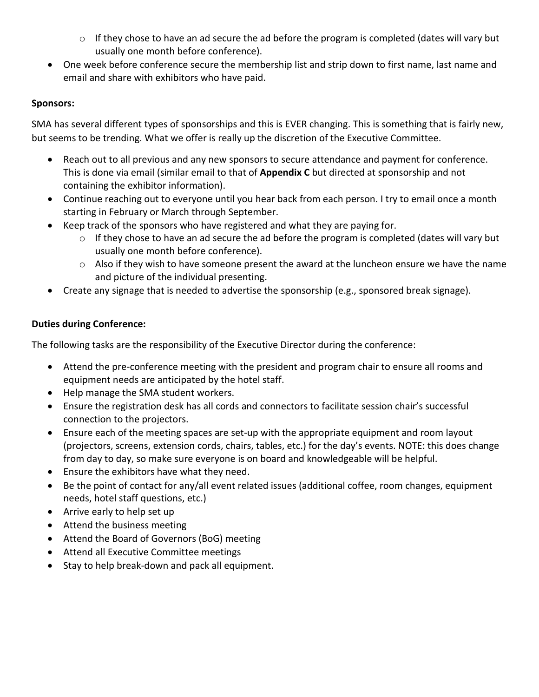- o If they chose to have an ad secure the ad before the program is completed (dates will vary but usually one month before conference).
- One week before conference secure the membership list and strip down to first name, last name and email and share with exhibitors who have paid.

## **Sponsors:**

SMA has several different types of sponsorships and this is EVER changing. This is something that is fairly new, but seems to be trending. What we offer is really up the discretion of the Executive Committee.

- Reach out to all previous and any new sponsors to secure attendance and payment for conference. This is done via email (similar email to that of **Appendix C** but directed at sponsorship and not containing the exhibitor information).
- Continue reaching out to everyone until you hear back from each person. I try to email once a month starting in February or March through September.
- Keep track of the sponsors who have registered and what they are paying for.
	- $\circ$  If they chose to have an ad secure the ad before the program is completed (dates will vary but usually one month before conference).
	- o Also if they wish to have someone present the award at the luncheon ensure we have the name and picture of the individual presenting.
- Create any signage that is needed to advertise the sponsorship (e.g., sponsored break signage).

# **Duties during Conference:**

The following tasks are the responsibility of the Executive Director during the conference:

- Attend the pre-conference meeting with the president and program chair to ensure all rooms and equipment needs are anticipated by the hotel staff.
- Help manage the SMA student workers.
- Ensure the registration desk has all cords and connectors to facilitate session chair's successful connection to the projectors.
- Ensure each of the meeting spaces are set-up with the appropriate equipment and room layout (projectors, screens, extension cords, chairs, tables, etc.) for the day's events. NOTE: this does change from day to day, so make sure everyone is on board and knowledgeable will be helpful.
- Ensure the exhibitors have what they need.
- Be the point of contact for any/all event related issues (additional coffee, room changes, equipment needs, hotel staff questions, etc.)
- Arrive early to help set up
- Attend the business meeting
- Attend the Board of Governors (BoG) meeting
- Attend all Executive Committee meetings
- Stay to help break-down and pack all equipment.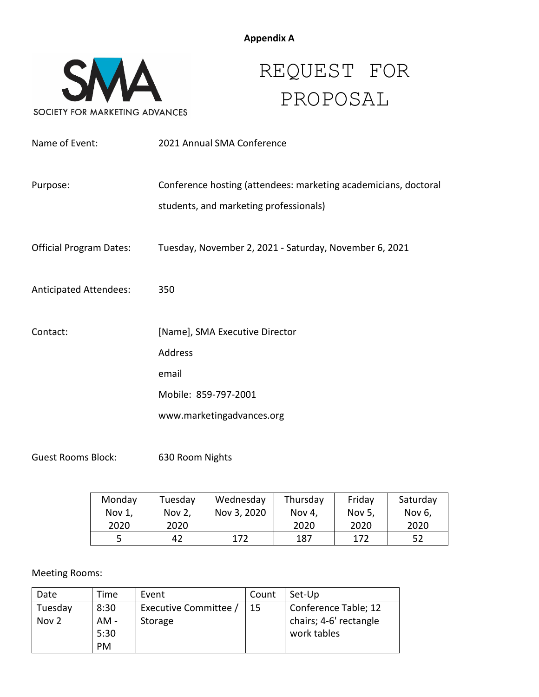

# REQUEST FOR PROPOSAL

| Name of Event:                 | 2021 Annual SMA Conference                                                                                |
|--------------------------------|-----------------------------------------------------------------------------------------------------------|
| Purpose:                       | Conference hosting (attendees: marketing academicians, doctoral<br>students, and marketing professionals) |
| <b>Official Program Dates:</b> | Tuesday, November 2, 2021 - Saturday, November 6, 2021                                                    |
| <b>Anticipated Attendees:</b>  | 350                                                                                                       |
| Contact:                       | [Name], SMA Executive Director                                                                            |
|                                | Address                                                                                                   |
|                                | email                                                                                                     |
|                                | Mobile: 859-797-2001                                                                                      |
|                                | www.marketingadvances.org                                                                                 |

Guest Rooms Block: 630 Room Nights

| Monday | Tuesday | Wednesday   | Thursday | Friday | Saturday |
|--------|---------|-------------|----------|--------|----------|
| Nov 1, | Nov 2,  | Nov 3, 2020 | Nov 4,   | Nov 5, | Nov 6,   |
| 2020   | 2020    |             | 2020     | 2020   | 2020     |
|        | 42      | 172         | 187      | 172    | 52       |

# Meeting Rooms:

| Date    | Time | Event               | Count | Set-Up                 |
|---------|------|---------------------|-------|------------------------|
| Tuesday | 8:30 | Executive Committee | 15    | Conference Table; 12   |
| Nov 2   | AM - | Storage             |       | chairs; 4-6' rectangle |
|         | 5:30 |                     |       | work tables            |
|         | PM   |                     |       |                        |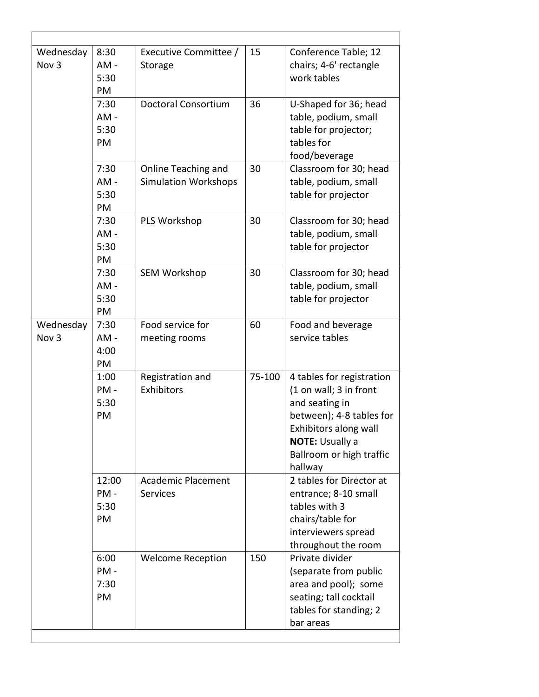| Wednesday<br>Nov <sub>3</sub> | 8:30<br>$AM -$<br>5:30<br>PM  | Executive Committee /<br>Storage                   | 15     | Conference Table; 12<br>chairs; 4-6' rectangle<br>work tables                                                                                                                               |
|-------------------------------|-------------------------------|----------------------------------------------------|--------|---------------------------------------------------------------------------------------------------------------------------------------------------------------------------------------------|
|                               | 7:30<br>$AM -$<br>5:30<br>PM  | <b>Doctoral Consortium</b>                         | 36     | U-Shaped for 36; head<br>table, podium, small<br>table for projector;<br>tables for<br>food/beverage                                                                                        |
|                               | 7:30<br>$AM -$<br>5:30<br>PM  | Online Teaching and<br><b>Simulation Workshops</b> | 30     | Classroom for 30; head<br>table, podium, small<br>table for projector                                                                                                                       |
|                               | 7:30<br>$AM -$<br>5:30<br>PM  | PLS Workshop                                       | 30     | Classroom for 30; head<br>table, podium, small<br>table for projector                                                                                                                       |
|                               | 7:30<br>$AM -$<br>5:30<br>PM  | <b>SEM Workshop</b>                                | 30     | Classroom for 30; head<br>table, podium, small<br>table for projector                                                                                                                       |
| Wednesday<br>Nov <sub>3</sub> | 7:30<br>$AM -$<br>4:00<br>PM  | Food service for<br>meeting rooms                  | 60     | Food and beverage<br>service tables                                                                                                                                                         |
|                               | 1:00<br>PM-<br>5:30<br>PM     | Registration and<br>Exhibitors                     | 75-100 | 4 tables for registration<br>(1 on wall; 3 in front<br>and seating in<br>between); 4-8 tables for<br>Exhibitors along wall<br><b>NOTE: Usually a</b><br>Ballroom or high traffic<br>hallway |
|                               | 12:00<br>$PM -$<br>5:30<br>PM | <b>Academic Placement</b><br><b>Services</b>       |        | 2 tables for Director at<br>entrance; 8-10 small<br>tables with 3<br>chairs/table for<br>interviewers spread<br>throughout the room                                                         |
|                               | 6:00<br>$PM -$<br>7:30<br>PM  | <b>Welcome Reception</b>                           | 150    | Private divider<br>(separate from public<br>area and pool); some<br>seating; tall cocktail<br>tables for standing; 2<br>bar areas                                                           |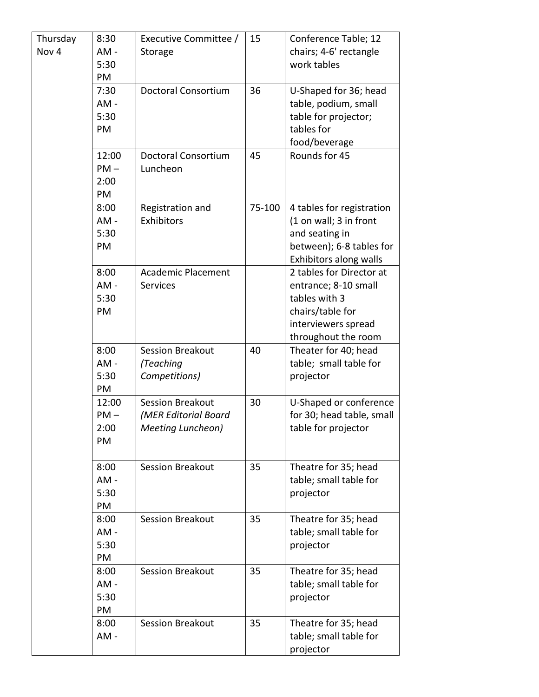| Thursday | 8:30   | Executive Committee /      | 15     | Conference Table; 12      |
|----------|--------|----------------------------|--------|---------------------------|
| Nov 4    | AM-    | Storage                    |        | chairs; 4-6' rectangle    |
|          | 5:30   |                            |        | work tables               |
|          | PM     |                            |        |                           |
|          | 7:30   | Doctoral Consortium        | 36     | U-Shaped for 36; head     |
|          | $AM -$ |                            |        | table, podium, small      |
|          | 5:30   |                            |        | table for projector;      |
|          | PM     |                            |        | tables for                |
|          |        |                            |        | food/beverage             |
|          | 12:00  | <b>Doctoral Consortium</b> | 45     | Rounds for 45             |
|          | $PM -$ | Luncheon                   |        |                           |
|          | 2:00   |                            |        |                           |
|          | PM     |                            |        |                           |
|          | 8:00   | Registration and           | 75-100 | 4 tables for registration |
|          | AM-    | Exhibitors                 |        | (1 on wall; 3 in front    |
|          | 5:30   |                            |        | and seating in            |
|          | PM     |                            |        | between); 6-8 tables for  |
|          |        |                            |        | Exhibitors along walls    |
|          | 8:00   | <b>Academic Placement</b>  |        | 2 tables for Director at  |
|          | AM-    | Services                   |        | entrance; 8-10 small      |
|          | 5:30   |                            |        | tables with 3             |
|          | PM     |                            |        | chairs/table for          |
|          |        |                            |        | interviewers spread       |
|          |        |                            |        | throughout the room       |
|          | 8:00   | <b>Session Breakout</b>    | 40     | Theater for 40; head      |
|          | AM-    | (Teaching                  |        | table; small table for    |
|          | 5:30   | Competitions)              |        | projector                 |
|          | PM     |                            |        |                           |
|          | 12:00  | <b>Session Breakout</b>    | 30     | U-Shaped or conference    |
|          | $PM -$ | (MER Editorial Board       |        | for 30; head table, small |
|          | 2:00   | Meeting Luncheon)          |        | table for projector       |
|          | PM     |                            |        |                           |
|          |        |                            |        |                           |
|          | 8:00   | <b>Session Breakout</b>    | 35     | Theatre for 35; head      |
|          | $AM -$ |                            |        | table; small table for    |
|          | 5:30   |                            |        | projector                 |
|          | PM     |                            |        |                           |
|          | 8:00   | <b>Session Breakout</b>    | 35     | Theatre for 35; head      |
|          | $AM -$ |                            |        | table; small table for    |
|          | 5:30   |                            |        | projector                 |
|          | PM     |                            |        |                           |
|          | 8:00   | <b>Session Breakout</b>    | 35     | Theatre for 35; head      |
|          | $AM -$ |                            |        | table; small table for    |
|          | 5:30   |                            |        | projector                 |
|          | PM     |                            |        |                           |
|          | 8:00   | <b>Session Breakout</b>    | 35     | Theatre for 35; head      |
|          | AM-    |                            |        | table; small table for    |
|          |        |                            |        | projector                 |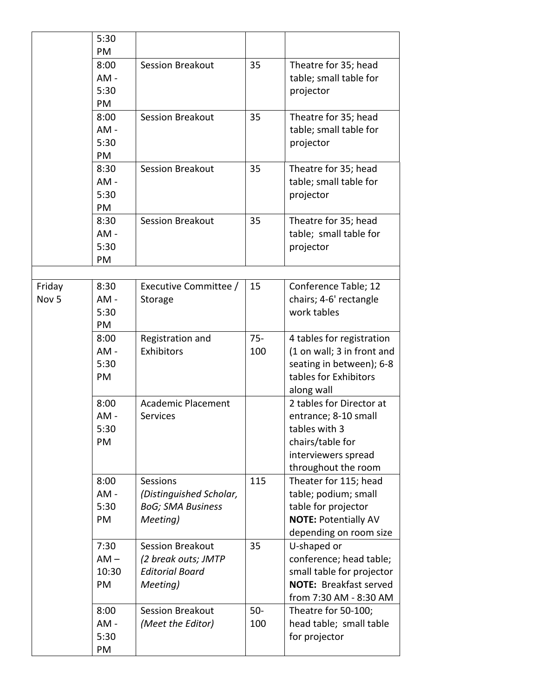|                  | 5:30           |                                |               |                                                        |
|------------------|----------------|--------------------------------|---------------|--------------------------------------------------------|
|                  | PM             |                                |               |                                                        |
|                  | 8:00           | <b>Session Breakout</b>        | 35            | Theatre for 35; head                                   |
|                  | AM-<br>5:30    |                                |               | table; small table for                                 |
|                  | PM             |                                |               | projector                                              |
|                  | 8:00           | <b>Session Breakout</b>        | 35            | Theatre for 35; head                                   |
|                  | $AM -$         |                                |               | table; small table for                                 |
|                  | 5:30           |                                |               | projector                                              |
|                  | PM             |                                |               |                                                        |
|                  | 8:30           | <b>Session Breakout</b>        | 35            | Theatre for 35; head                                   |
|                  | AM-            |                                |               | table; small table for                                 |
|                  | 5:30           |                                |               | projector                                              |
|                  | PM             |                                |               |                                                        |
|                  | 8:30           | <b>Session Breakout</b>        | 35            | Theatre for 35; head                                   |
|                  | $AM -$         |                                |               | table; small table for                                 |
|                  | 5:30           |                                |               | projector                                              |
|                  | PM             |                                |               |                                                        |
|                  |                |                                |               |                                                        |
| Friday           | 8:30           | Executive Committee /          | 15            | Conference Table; 12                                   |
| Nov <sub>5</sub> | AM-            | Storage                        |               | chairs; 4-6' rectangle                                 |
|                  | 5:30           |                                |               | work tables                                            |
|                  | PM             |                                |               |                                                        |
|                  | 8:00<br>$AM -$ | Registration and<br>Exhibitors | $75 -$<br>100 | 4 tables for registration                              |
|                  | 5:30           |                                |               | (1 on wall; 3 in front and<br>seating in between); 6-8 |
|                  | PM             |                                |               | tables for Exhibitors                                  |
|                  |                |                                |               | along wall                                             |
|                  | 8:00           | <b>Academic Placement</b>      |               | 2 tables for Director at                               |
|                  | AM-            | <b>Services</b>                |               | entrance; 8-10 small                                   |
|                  | 5:30           |                                |               | tables with 3                                          |
|                  | PM             |                                |               | chairs/table for                                       |
|                  |                |                                |               | interviewers spread                                    |
|                  |                |                                |               | throughout the room                                    |
|                  | 8:00           | Sessions                       | 115           | Theater for 115; head                                  |
|                  | $AM -$         | (Distinguished Scholar,        |               | table; podium; small                                   |
|                  | 5:30           | <b>BoG; SMA Business</b>       |               | table for projector                                    |
|                  | PM             | Meeting)                       |               | <b>NOTE: Potentially AV</b>                            |
|                  |                |                                |               | depending on room size                                 |
|                  | 7:30           | <b>Session Breakout</b>        | 35            | U-shaped or                                            |
|                  | $AM -$         | (2 break outs; JMTP            |               | conference; head table;                                |
|                  | 10:30          | <b>Editorial Board</b>         |               | small table for projector                              |
|                  | PM             | Meeting)                       |               | <b>NOTE: Breakfast served</b>                          |
|                  |                |                                |               | from 7:30 AM - 8:30 AM                                 |
|                  | 8:00           | <b>Session Breakout</b>        | $50-$         | Theatre for 50-100;                                    |
|                  | $AM -$         | (Meet the Editor)              | 100           | head table; small table                                |
|                  | 5:30           |                                |               | for projector                                          |
|                  | PM             |                                |               |                                                        |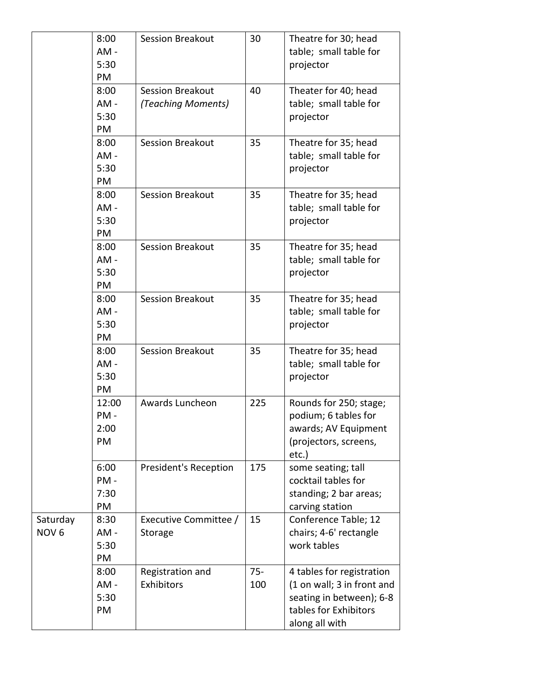|                  | 8:00<br>AM-    | <b>Session Breakout</b>        | 30            | Theatre for 30; head<br>table; small table for         |
|------------------|----------------|--------------------------------|---------------|--------------------------------------------------------|
|                  | 5:30<br>PM     |                                |               | projector                                              |
|                  | 8:00           | <b>Session Breakout</b>        | 40            | Theater for 40; head                                   |
|                  | $AM -$         | (Teaching Moments)             |               | table; small table for                                 |
|                  | 5:30           |                                |               | projector                                              |
|                  | PM             |                                |               |                                                        |
|                  | 8:00           | <b>Session Breakout</b>        | 35            | Theatre for 35; head                                   |
|                  | $AM -$         |                                |               | table; small table for                                 |
|                  | 5:30           |                                |               | projector                                              |
|                  | PM             |                                |               |                                                        |
|                  | 8:00           | <b>Session Breakout</b>        | 35            | Theatre for 35; head                                   |
|                  | $AM -$         |                                |               | table; small table for                                 |
|                  | 5:30           |                                |               | projector                                              |
|                  | PM             |                                |               |                                                        |
|                  | 8:00           | <b>Session Breakout</b>        | 35            | Theatre for 35; head                                   |
|                  | $AM -$         |                                |               | table; small table for                                 |
|                  | 5:30<br>PM     |                                |               | projector                                              |
|                  | 8:00           | <b>Session Breakout</b>        | 35            | Theatre for 35; head                                   |
|                  | $AM -$         |                                |               | table; small table for                                 |
|                  | 5:30           |                                |               | projector                                              |
|                  | PM             |                                |               |                                                        |
|                  | 8:00           | <b>Session Breakout</b>        | 35            | Theatre for 35; head                                   |
|                  | $AM -$         |                                |               | table; small table for                                 |
|                  | 5:30           |                                |               | projector                                              |
|                  | PM             |                                |               |                                                        |
|                  | 12:00          | Awards Luncheon                | 225           | Rounds for 250; stage;                                 |
|                  | PM-            |                                |               | podium; 6 tables for                                   |
|                  | 2:00           |                                |               | awards; AV Equipment                                   |
|                  | PM             |                                |               | (projectors, screens,                                  |
|                  |                |                                |               | etc.)                                                  |
|                  | 6:00           | <b>President's Reception</b>   | 175           | some seating; tall                                     |
|                  | PM-            |                                |               | cocktail tables for                                    |
|                  | 7:30           |                                |               | standing; 2 bar areas;                                 |
|                  | PM             |                                |               | carving station                                        |
| Saturday         | 8:30           | Executive Committee /          | 15            | Conference Table; 12                                   |
| NOV <sub>6</sub> | AM-            | Storage                        |               | chairs; 4-6' rectangle                                 |
|                  | 5:30           |                                |               | work tables                                            |
|                  | PM             |                                |               |                                                        |
|                  | 8:00<br>$AM -$ | Registration and<br>Exhibitors | $75 -$<br>100 | 4 tables for registration                              |
|                  | 5:30           |                                |               | (1 on wall; 3 in front and<br>seating in between); 6-8 |
|                  | PM             |                                |               | tables for Exhibitors                                  |
|                  |                |                                |               | along all with                                         |
|                  |                |                                |               |                                                        |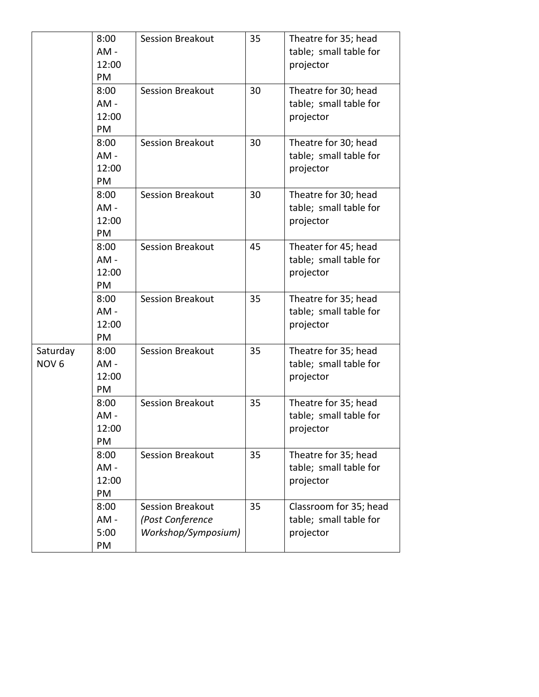|                              | 8:00<br>AM-<br>12:00<br>PM    | <b>Session Breakout</b>                                            | 35 | Theatre for 35; head<br>table; small table for<br>projector   |
|------------------------------|-------------------------------|--------------------------------------------------------------------|----|---------------------------------------------------------------|
|                              | 8:00<br>$AM -$<br>12:00<br>PM | <b>Session Breakout</b>                                            | 30 | Theatre for 30; head<br>table; small table for<br>projector   |
|                              | 8:00<br>$AM -$<br>12:00<br>PM | <b>Session Breakout</b>                                            | 30 | Theatre for 30; head<br>table; small table for<br>projector   |
|                              | 8:00<br>$AM -$<br>12:00<br>PM | <b>Session Breakout</b>                                            | 30 | Theatre for 30; head<br>table; small table for<br>projector   |
|                              | 8:00<br>AM-<br>12:00<br>PM    | <b>Session Breakout</b>                                            | 45 | Theater for 45; head<br>table; small table for<br>projector   |
|                              | 8:00<br>$AM -$<br>12:00<br>PM | <b>Session Breakout</b>                                            | 35 | Theatre for 35; head<br>table; small table for<br>projector   |
| Saturday<br>NOV <sub>6</sub> | 8:00<br>$AM -$<br>12:00<br>PM | <b>Session Breakout</b>                                            | 35 | Theatre for 35; head<br>table; small table for<br>projector   |
|                              | 8:00<br>AM-<br>12:00<br>PM    | <b>Session Breakout</b>                                            | 35 | Theatre for 35; head<br>table; small table for<br>projector   |
|                              | 8:00<br>AM-<br>12:00<br>PM    | <b>Session Breakout</b>                                            | 35 | Theatre for 35; head<br>table; small table for<br>projector   |
|                              | 8:00<br>$AM -$<br>5:00<br>PM  | <b>Session Breakout</b><br>(Post Conference<br>Workshop/Symposium) | 35 | Classroom for 35; head<br>table; small table for<br>projector |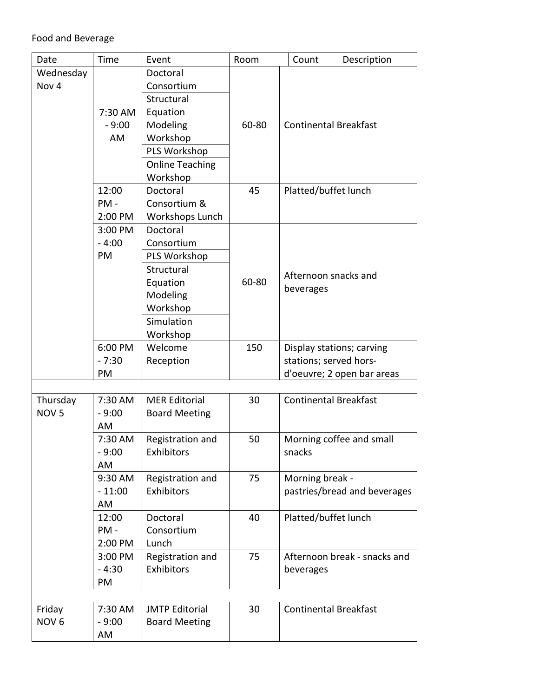| Date             | Time     | Event                  | Room  | Count                        | Description                  |  |
|------------------|----------|------------------------|-------|------------------------------|------------------------------|--|
| Wednesday        |          | Doctoral               |       |                              |                              |  |
| Nov <sub>4</sub> |          | Consortium             |       |                              |                              |  |
|                  |          | Structural             |       |                              |                              |  |
|                  | 7:30 AM  | Equation               |       |                              |                              |  |
|                  | $-9:00$  | Modeling               | 60-80 | <b>Continental Breakfast</b> |                              |  |
|                  | AM       | Workshop               |       |                              |                              |  |
|                  |          | PLS Workshop           |       |                              |                              |  |
|                  |          | <b>Online Teaching</b> |       |                              |                              |  |
|                  |          | Workshop               |       |                              |                              |  |
|                  | 12:00    | Doctoral               | 45    | Platted/buffet lunch         |                              |  |
|                  | PM-      | Consortium &           |       |                              |                              |  |
|                  | 2:00 PM  | Workshops Lunch        |       |                              |                              |  |
|                  | 3:00 PM  | Doctoral               |       |                              |                              |  |
|                  | $-4:00$  | Consortium             |       |                              |                              |  |
|                  | PM       | PLS Workshop           |       |                              |                              |  |
|                  |          | Structural             |       |                              |                              |  |
|                  |          | Equation               | 60-80 | Afternoon snacks and         |                              |  |
|                  |          | Modeling               |       | beverages                    |                              |  |
|                  |          | Workshop               |       |                              |                              |  |
|                  |          | Simulation             |       |                              |                              |  |
|                  |          | Workshop               |       |                              |                              |  |
|                  | 6:00 PM  | Welcome                | 150   |                              | Display stations; carving    |  |
|                  | $-7:30$  | Reception              |       | stations; served hors-       |                              |  |
|                  | PM       |                        |       |                              | d'oeuvre; 2 open bar areas   |  |
|                  |          |                        |       |                              |                              |  |
| Thursday         | 7:30 AM  | <b>MER Editorial</b>   | 30    | <b>Continental Breakfast</b> |                              |  |
| NOV <sub>5</sub> | $-9:00$  | <b>Board Meeting</b>   |       |                              |                              |  |
|                  | AM       |                        |       |                              |                              |  |
|                  | 7:30 AM  | Registration and       | 50    |                              | Morning coffee and small     |  |
|                  | $-9:00$  | Exhibitors             |       | snacks                       |                              |  |
|                  | AM       |                        |       |                              |                              |  |
|                  | 9:30 AM  | Registration and       | 75    | Morning break -              |                              |  |
|                  | $-11:00$ | Exhibitors             |       |                              | pastries/bread and beverages |  |
|                  | AM       |                        |       |                              |                              |  |
|                  | 12:00    | Doctoral               | 40    | Platted/buffet lunch         |                              |  |
|                  | PM-      | Consortium             |       |                              |                              |  |
|                  | 2:00 PM  | Lunch                  |       |                              |                              |  |
|                  | 3:00 PM  | Registration and       | 75    |                              | Afternoon break - snacks and |  |
|                  | $-4:30$  | Exhibitors             |       | beverages                    |                              |  |
|                  | PM       |                        |       |                              |                              |  |
|                  |          |                        |       |                              |                              |  |
| Friday           | 7:30 AM  | <b>JMTP Editorial</b>  | 30    | <b>Continental Breakfast</b> |                              |  |
| NOV <sub>6</sub> | $-9:00$  | <b>Board Meeting</b>   |       |                              |                              |  |
|                  | AM       |                        |       |                              |                              |  |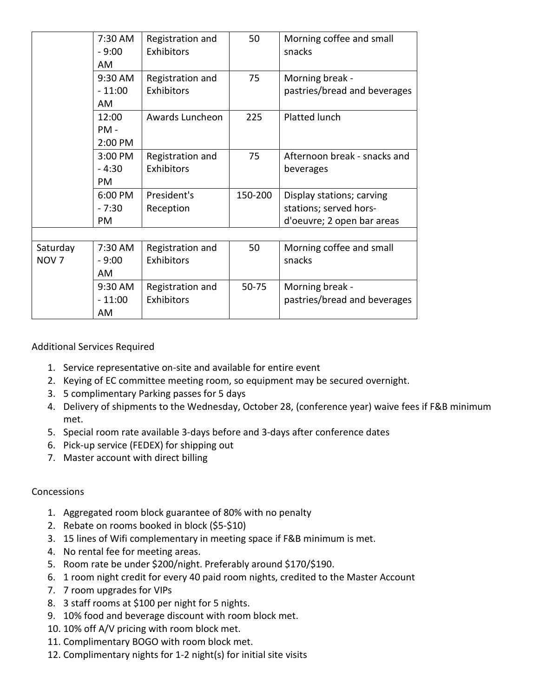|                  | 7:30 AM   | Registration and | 50      | Morning coffee and small     |
|------------------|-----------|------------------|---------|------------------------------|
|                  | $-9:00$   | Exhibitors       |         | snacks                       |
|                  | AM        |                  |         |                              |
|                  | 9:30 AM   | Registration and | 75      | Morning break -              |
|                  | $-11:00$  | Exhibitors       |         | pastries/bread and beverages |
|                  | AM        |                  |         |                              |
|                  | 12:00     | Awards Luncheon  | 225     | Platted lunch                |
|                  | PM -      |                  |         |                              |
|                  | 2:00 PM   |                  |         |                              |
|                  | 3:00 PM   | Registration and | 75      | Afternoon break - snacks and |
|                  | $-4:30$   | Exhibitors       |         | beverages                    |
|                  | PM        |                  |         |                              |
|                  | 6:00 PM   | President's      | 150-200 | Display stations; carving    |
|                  | $-7:30$   | Reception        |         | stations; served hors-       |
|                  | <b>PM</b> |                  |         | d'oeuvre; 2 open bar areas   |
|                  |           |                  |         |                              |
| Saturday         | 7:30 AM   | Registration and | 50      | Morning coffee and small     |
| NOV <sub>7</sub> | - 9:00    | Exhibitors       |         | snacks                       |
|                  | AM        |                  |         |                              |
|                  | 9:30 AM   | Registration and | 50-75   | Morning break -              |
|                  | $-11:00$  | Exhibitors       |         | pastries/bread and beverages |
|                  | AM        |                  |         |                              |

Additional Services Required

- 1. Service representative on-site and available for entire event
- 2. Keying of EC committee meeting room, so equipment may be secured overnight.
- 3. 5 complimentary Parking passes for 5 days
- 4. Delivery of shipments to the Wednesday, October 28, (conference year) waive fees if F&B minimum met.
- 5. Special room rate available 3-days before and 3-days after conference dates
- 6. Pick-up service (FEDEX) for shipping out
- 7. Master account with direct billing

#### Concessions

- 1. Aggregated room block guarantee of 80% with no penalty
- 2. Rebate on rooms booked in block (\$5-\$10)
- 3. 15 lines of Wifi complementary in meeting space if F&B minimum is met.
- 4. No rental fee for meeting areas.
- 5. Room rate be under \$200/night. Preferably around \$170/\$190.
- 6. 1 room night credit for every 40 paid room nights, credited to the Master Account
- 7. 7 room upgrades for VIPs
- 8. 3 staff rooms at \$100 per night for 5 nights.
- 9. 10% food and beverage discount with room block met.
- 10. 10% off A/V pricing with room block met.
- 11. Complimentary BOGO with room block met.
- 12. Complimentary nights for 1-2 night(s) for initial site visits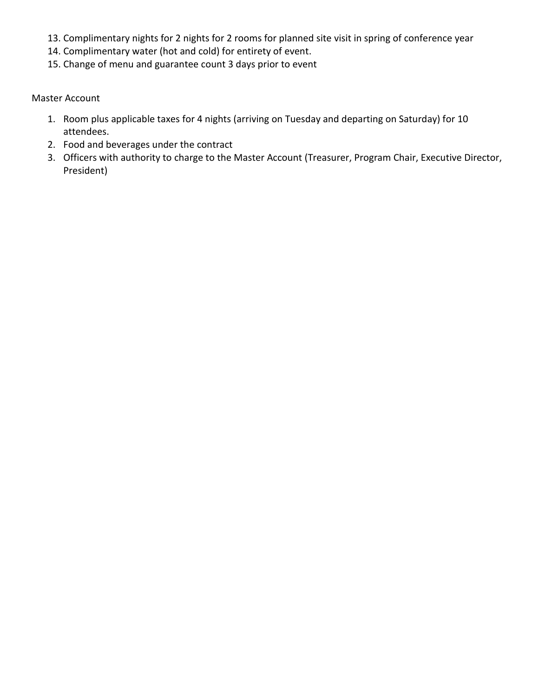- 13. Complimentary nights for 2 nights for 2 rooms for planned site visit in spring of conference year
- 14. Complimentary water (hot and cold) for entirety of event.
- 15. Change of menu and guarantee count 3 days prior to event

Master Account

- 1. Room plus applicable taxes for 4 nights (arriving on Tuesday and departing on Saturday) for 10 attendees.
- 2. Food and beverages under the contract
- 3. Officers with authority to charge to the Master Account (Treasurer, Program Chair, Executive Director, President)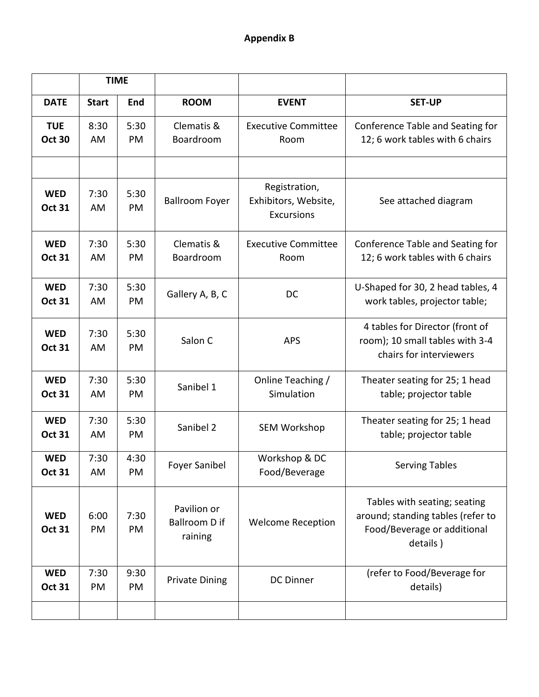|                             | <b>TIME</b>  |            |                                                |                                                            |                                                                                                              |
|-----------------------------|--------------|------------|------------------------------------------------|------------------------------------------------------------|--------------------------------------------------------------------------------------------------------------|
| <b>DATE</b>                 | <b>Start</b> | End        | <b>ROOM</b>                                    | <b>EVENT</b>                                               | <b>SET-UP</b>                                                                                                |
| <b>TUE</b><br><b>Oct 30</b> | 8:30<br>AM   | 5:30<br>PM | Clematis &<br>Boardroom                        | <b>Executive Committee</b><br>Room                         | Conference Table and Seating for<br>12; 6 work tables with 6 chairs                                          |
|                             |              |            |                                                |                                                            |                                                                                                              |
| <b>WED</b><br><b>Oct 31</b> | 7:30<br>AM   | 5:30<br>PM | <b>Ballroom Foyer</b>                          | Registration,<br>Exhibitors, Website,<br><b>Excursions</b> | See attached diagram                                                                                         |
| <b>WED</b><br><b>Oct 31</b> | 7:30<br>AM   | 5:30<br>PM | Clematis &<br>Boardroom                        | <b>Executive Committee</b><br>Room                         | Conference Table and Seating for<br>12; 6 work tables with 6 chairs                                          |
| <b>WED</b><br><b>Oct 31</b> | 7:30<br>AM   | 5:30<br>PM | Gallery A, B, C                                | DC                                                         | U-Shaped for 30, 2 head tables, 4<br>work tables, projector table;                                           |
| <b>WED</b><br><b>Oct 31</b> | 7:30<br>AM   | 5:30<br>PM | Salon C                                        | <b>APS</b>                                                 | 4 tables for Director (front of<br>room); 10 small tables with 3-4<br>chairs for interviewers                |
| <b>WED</b><br><b>Oct 31</b> | 7:30<br>AM   | 5:30<br>PM | Sanibel 1                                      | Online Teaching /<br>Simulation                            | Theater seating for 25; 1 head<br>table; projector table                                                     |
| <b>WED</b><br><b>Oct 31</b> | 7:30<br>AM   | 5:30<br>PM | Sanibel 2                                      | <b>SEM Workshop</b>                                        | Theater seating for 25; 1 head<br>table; projector table                                                     |
| <b>WED</b><br><b>Oct 31</b> | 7:30<br>AM   | 4:30<br>PM | <b>Foyer Sanibel</b>                           | Workshop & DC<br>Food/Beverage                             | <b>Serving Tables</b>                                                                                        |
| <b>WED</b><br><b>Oct 31</b> | 6:00<br>PM   | 7:30<br>PM | Pavilion or<br><b>Ballroom D if</b><br>raining | <b>Welcome Reception</b>                                   | Tables with seating; seating<br>around; standing tables (refer to<br>Food/Beverage or additional<br>details) |
| <b>WED</b><br><b>Oct 31</b> | 7:30<br>PM   | 9:30<br>PM | <b>Private Dining</b>                          | <b>DC Dinner</b>                                           | (refer to Food/Beverage for<br>details)                                                                      |
|                             |              |            |                                                |                                                            |                                                                                                              |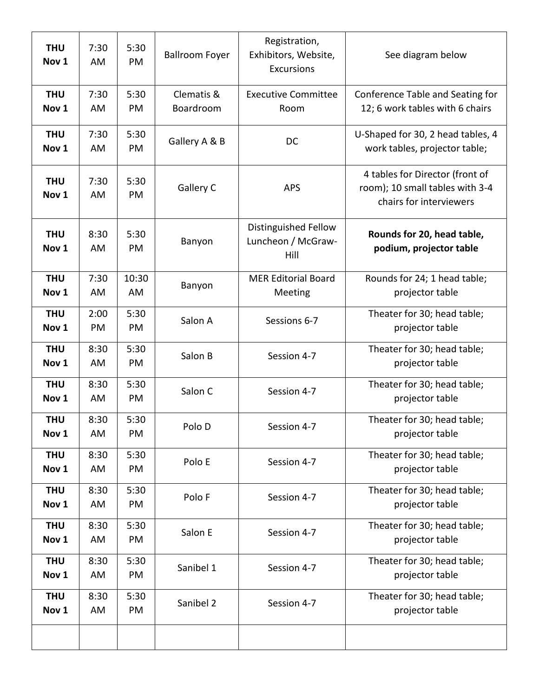| <b>THU</b><br>Nov <sub>1</sub> | 7:30<br>AM | 5:30<br>PM  | <b>Ballroom Foyer</b>   | Registration,<br>Exhibitors, Website,<br><b>Excursions</b> | See diagram below                                                                             |
|--------------------------------|------------|-------------|-------------------------|------------------------------------------------------------|-----------------------------------------------------------------------------------------------|
| <b>THU</b><br>Nov <sub>1</sub> | 7:30<br>AM | 5:30<br>PM  | Clematis &<br>Boardroom | <b>Executive Committee</b><br>Room                         | Conference Table and Seating for<br>12; 6 work tables with 6 chairs                           |
| <b>THU</b><br>Nov <sub>1</sub> | 7:30<br>AM | 5:30<br>PM  | Gallery A & B           | DC                                                         | U-Shaped for 30, 2 head tables, 4<br>work tables, projector table;                            |
| <b>THU</b><br>Nov 1            | 7:30<br>AM | 5:30<br>PM  | Gallery C               | <b>APS</b>                                                 | 4 tables for Director (front of<br>room); 10 small tables with 3-4<br>chairs for interviewers |
| <b>THU</b><br>Nov <sub>1</sub> | 8:30<br>AM | 5:30<br>PM  | Banyon                  | Distinguished Fellow<br>Luncheon / McGraw-<br>Hill         | Rounds for 20, head table,<br>podium, projector table                                         |
| <b>THU</b><br>Nov 1            | 7:30<br>AM | 10:30<br>AM | Banyon                  | <b>MER Editorial Board</b><br>Meeting                      | Rounds for 24; 1 head table;<br>projector table                                               |
| <b>THU</b><br>Nov <sub>1</sub> | 2:00<br>PM | 5:30<br>PM  | Salon A                 | Sessions 6-7                                               | Theater for 30; head table;<br>projector table                                                |
| <b>THU</b><br>Nov <sub>1</sub> | 8:30<br>AM | 5:30<br>PM  | Salon B                 | Session 4-7                                                | Theater for 30; head table;<br>projector table                                                |
| <b>THU</b><br>Nov <sub>1</sub> | 8:30<br>AM | 5:30<br>PM  | Salon C                 | Session 4-7                                                | Theater for 30; head table;<br>projector table                                                |
| <b>THU</b><br>Nov <sub>1</sub> | 8:30<br>AM | 5:30<br>PM  | Polo D                  | Session 4-7                                                | Theater for 30; head table;<br>projector table                                                |
| <b>THU</b><br>Nov <sub>1</sub> | 8:30<br>AM | 5:30<br>PM  | Polo E                  | Session 4-7                                                | Theater for 30; head table;<br>projector table                                                |
| <b>THU</b><br>Nov <sub>1</sub> | 8:30<br>AM | 5:30<br>PM  | Polo F                  | Session 4-7                                                | Theater for 30; head table;<br>projector table                                                |
| <b>THU</b><br>Nov <sub>1</sub> | 8:30<br>AM | 5:30<br>PM  | Salon E                 | Session 4-7                                                | Theater for 30; head table;<br>projector table                                                |
| <b>THU</b><br>Nov <sub>1</sub> | 8:30<br>AM | 5:30<br>PM  | Sanibel 1               | Session 4-7                                                | Theater for 30; head table;<br>projector table                                                |
| <b>THU</b><br>Nov <sub>1</sub> | 8:30<br>AM | 5:30<br>PM  | Sanibel 2               | Session 4-7                                                | Theater for 30; head table;<br>projector table                                                |
|                                |            |             |                         |                                                            |                                                                                               |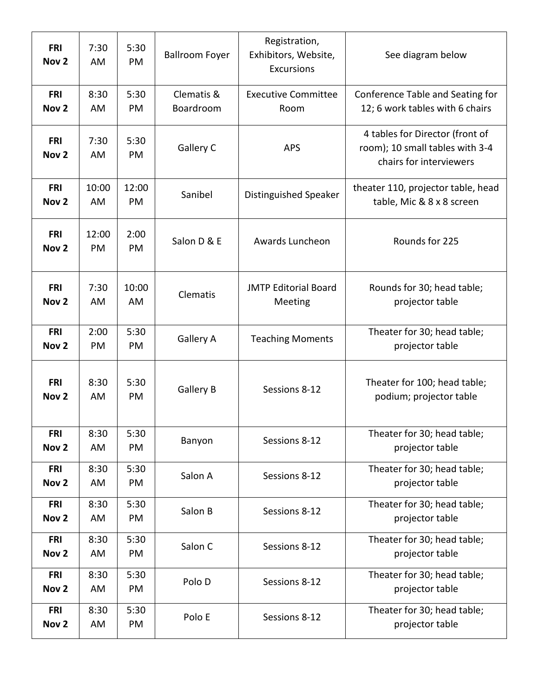| <b>FRI</b><br>Nov <sub>2</sub> | 7:30<br>AM  | 5:30<br>PM  | <b>Ballroom Foyer</b>   | Registration,<br>Exhibitors, Website,<br><b>Excursions</b> | See diagram below                                                                             |
|--------------------------------|-------------|-------------|-------------------------|------------------------------------------------------------|-----------------------------------------------------------------------------------------------|
| <b>FRI</b><br>Nov <sub>2</sub> | 8:30<br>AM  | 5:30<br>PM  | Clematis &<br>Boardroom | <b>Executive Committee</b><br>Room                         | Conference Table and Seating for<br>12; 6 work tables with 6 chairs                           |
| <b>FRI</b><br>Nov <sub>2</sub> | 7:30<br>AM  | 5:30<br>PM  | Gallery C               | <b>APS</b>                                                 | 4 tables for Director (front of<br>room); 10 small tables with 3-4<br>chairs for interviewers |
| <b>FRI</b><br>Nov <sub>2</sub> | 10:00<br>AM | 12:00<br>PM | Sanibel                 | Distinguished Speaker                                      | theater 110, projector table, head<br>table, Mic & 8 x 8 screen                               |
| <b>FRI</b><br>Nov <sub>2</sub> | 12:00<br>PM | 2:00<br>PM  | Salon D & E             | Awards Luncheon                                            | Rounds for 225                                                                                |
| <b>FRI</b><br>Nov <sub>2</sub> | 7:30<br>AM  | 10:00<br>AM | Clematis                | <b>JMTP Editorial Board</b><br>Meeting                     | Rounds for 30; head table;<br>projector table                                                 |
| <b>FRI</b><br>Nov <sub>2</sub> | 2:00<br>PM  | 5:30<br>PM  | <b>Gallery A</b>        | <b>Teaching Moments</b>                                    | Theater for 30; head table;<br>projector table                                                |
| <b>FRI</b><br>Nov <sub>2</sub> | 8:30<br>AM  | 5:30<br>PM  | <b>Gallery B</b>        | Sessions 8-12                                              | Theater for 100; head table;<br>podium; projector table                                       |
| <b>FRI</b><br>Nov <sub>2</sub> | 8:30<br>AM  | 5:30<br>PM  | Banyon                  | Sessions 8-12                                              | Theater for 30; head table;<br>projector table                                                |
| <b>FRI</b><br>Nov <sub>2</sub> | 8:30<br>AM  | 5:30<br>PM  | Salon A                 | Sessions 8-12                                              | Theater for 30; head table;<br>projector table                                                |
| <b>FRI</b><br>Nov <sub>2</sub> | 8:30<br>AM  | 5:30<br>PM  | Salon B                 | Sessions 8-12                                              | Theater for 30; head table;<br>projector table                                                |
| <b>FRI</b><br>Nov <sub>2</sub> | 8:30<br>AM  | 5:30<br>PM  | Salon C                 | Sessions 8-12                                              | Theater for 30; head table;<br>projector table                                                |
| <b>FRI</b><br>Nov <sub>2</sub> | 8:30<br>AM  | 5:30<br>PM  | Polo D                  | Sessions 8-12                                              | Theater for 30; head table;<br>projector table                                                |
| <b>FRI</b><br>Nov <sub>2</sub> | 8:30<br>AM  | 5:30<br>PM  | Polo E                  | Sessions 8-12                                              | Theater for 30; head table;<br>projector table                                                |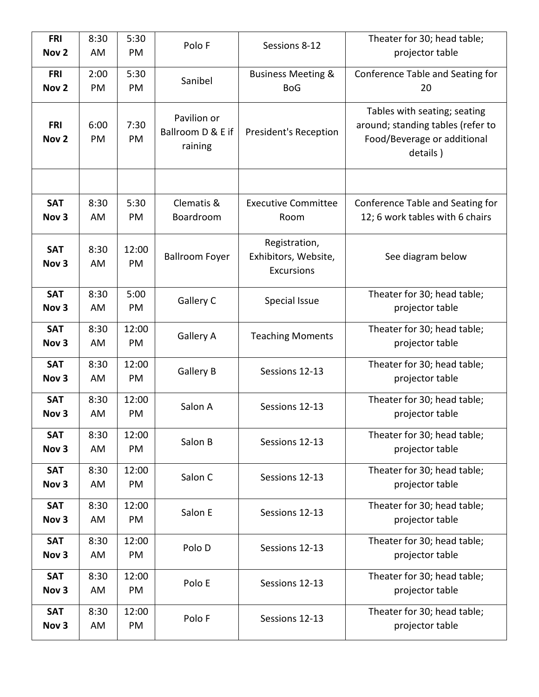| <b>FRI</b><br>Nov <sub>2</sub> | 8:30<br>AM | 5:30<br>PM  | Polo F                                      | Sessions 8-12                                              | Theater for 30; head table;<br>projector table                                                               |
|--------------------------------|------------|-------------|---------------------------------------------|------------------------------------------------------------|--------------------------------------------------------------------------------------------------------------|
| <b>FRI</b><br>Nov <sub>2</sub> | 2:00<br>PM | 5:30<br>PM  | Sanibel                                     | <b>Business Meeting &amp;</b><br><b>BoG</b>                | Conference Table and Seating for<br>20                                                                       |
| <b>FRI</b><br>Nov <sub>2</sub> | 6:00<br>PM | 7:30<br>PM  | Pavilion or<br>Ballroom D & E if<br>raining | President's Reception                                      | Tables with seating; seating<br>around; standing tables (refer to<br>Food/Beverage or additional<br>details) |
|                                |            |             |                                             |                                                            |                                                                                                              |
| <b>SAT</b><br>Nov <sub>3</sub> | 8:30<br>AM | 5:30<br>PM  | Clematis &<br>Boardroom                     | <b>Executive Committee</b><br>Room                         | Conference Table and Seating for<br>12; 6 work tables with 6 chairs                                          |
| <b>SAT</b><br>Nov <sub>3</sub> | 8:30<br>AM | 12:00<br>PM | <b>Ballroom Foyer</b>                       | Registration,<br>Exhibitors, Website,<br><b>Excursions</b> | See diagram below                                                                                            |
| <b>SAT</b><br>Nov <sub>3</sub> | 8:30<br>AM | 5:00<br>PM  | Gallery C                                   | Special Issue                                              | Theater for 30; head table;<br>projector table                                                               |
| <b>SAT</b><br>Nov <sub>3</sub> | 8:30<br>AM | 12:00<br>PM | <b>Gallery A</b>                            | <b>Teaching Moments</b>                                    | Theater for 30; head table;<br>projector table                                                               |
| <b>SAT</b><br>Nov <sub>3</sub> | 8:30<br>AM | 12:00<br>PM | <b>Gallery B</b>                            | Sessions 12-13                                             | Theater for 30; head table;<br>projector table                                                               |
| <b>SAT</b><br>Nov <sub>3</sub> | 8:30<br>AM | 12:00<br>PM | Salon A                                     | Sessions 12-13                                             | Theater for 30; head table;<br>projector table                                                               |
| <b>SAT</b><br>Nov <sub>3</sub> | 8:30<br>AM | 12:00<br>PM | Salon B                                     | Sessions 12-13                                             | Theater for 30; head table;<br>projector table                                                               |
| <b>SAT</b><br>Nov <sub>3</sub> | 8:30<br>AM | 12:00<br>PM | Salon C                                     | Sessions 12-13                                             | Theater for 30; head table;<br>projector table                                                               |
| <b>SAT</b><br>Nov <sub>3</sub> | 8:30<br>AM | 12:00<br>PM | Salon E                                     | Sessions 12-13                                             | Theater for 30; head table;<br>projector table                                                               |
| <b>SAT</b><br>Nov <sub>3</sub> | 8:30<br>AM | 12:00<br>PM | Polo D                                      | Sessions 12-13                                             | Theater for 30; head table;<br>projector table                                                               |
| <b>SAT</b><br>Nov <sub>3</sub> | 8:30<br>AM | 12:00<br>PM | Polo E                                      | Sessions 12-13                                             | Theater for 30; head table;<br>projector table                                                               |
| <b>SAT</b><br>Nov <sub>3</sub> | 8:30<br>AM | 12:00<br>PM | Polo F                                      | Sessions 12-13                                             | Theater for 30; head table;<br>projector table                                                               |